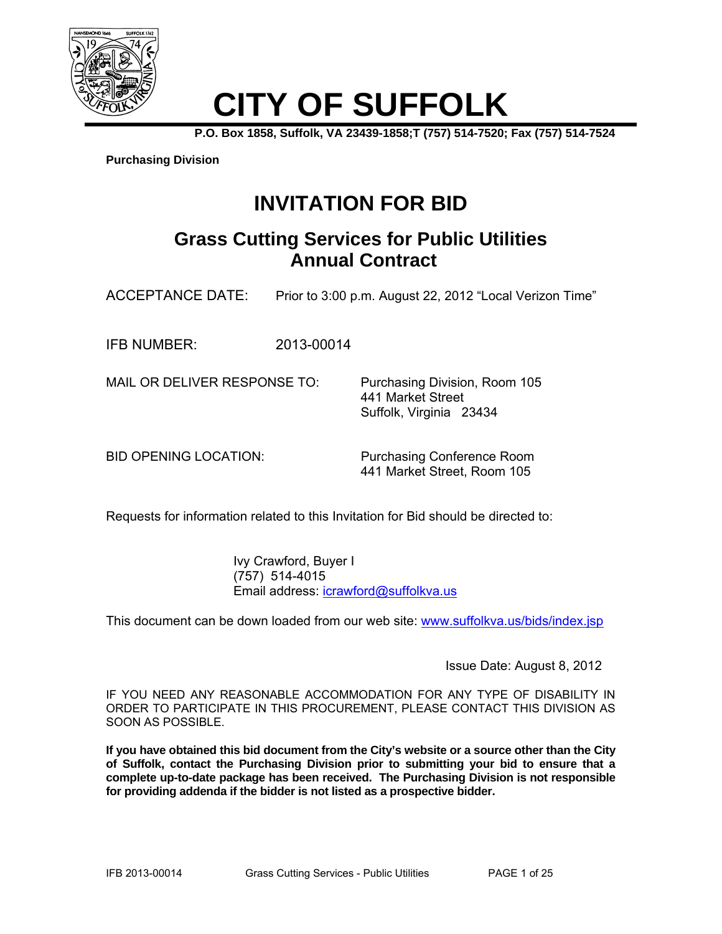

# **CITY OF SUFFOLK**

**P.O. Box 1858, Suffolk, VA 23439-1858;T (757) 514-7520; Fax (757) 514-7524** 

**Purchasing Division**

## **INVITATION FOR BID**

### **Grass Cutting Services for Public Utilities Annual Contract**

ACCEPTANCE DATE: Prior to 3:00 p.m. August 22, 2012 "Local Verizon Time"

IFB NUMBER: 2013-00014

MAIL OR DELIVER RESPONSE TO: Purchasing Division, Room 105

 441 Market Street Suffolk, Virginia 23434

BID OPENING LOCATION: Purchasing Conference Room 441 Market Street, Room 105

Requests for information related to this Invitation for Bid should be directed to:

 Ivy Crawford, Buyer I (757) 514-4015 Email address: icrawford@suffolkva.us

This document can be down loaded from our web site: www.suffolkva.us/bids/index.jsp

Issue Date: August 8, 2012

IF YOU NEED ANY REASONABLE ACCOMMODATION FOR ANY TYPE OF DISABILITY IN ORDER TO PARTICIPATE IN THIS PROCUREMENT, PLEASE CONTACT THIS DIVISION AS SOON AS POSSIBLE.

**If you have obtained this bid document from the City's website or a source other than the City of Suffolk, contact the Purchasing Division prior to submitting your bid to ensure that a complete up-to-date package has been received. The Purchasing Division is not responsible for providing addenda if the bidder is not listed as a prospective bidder.**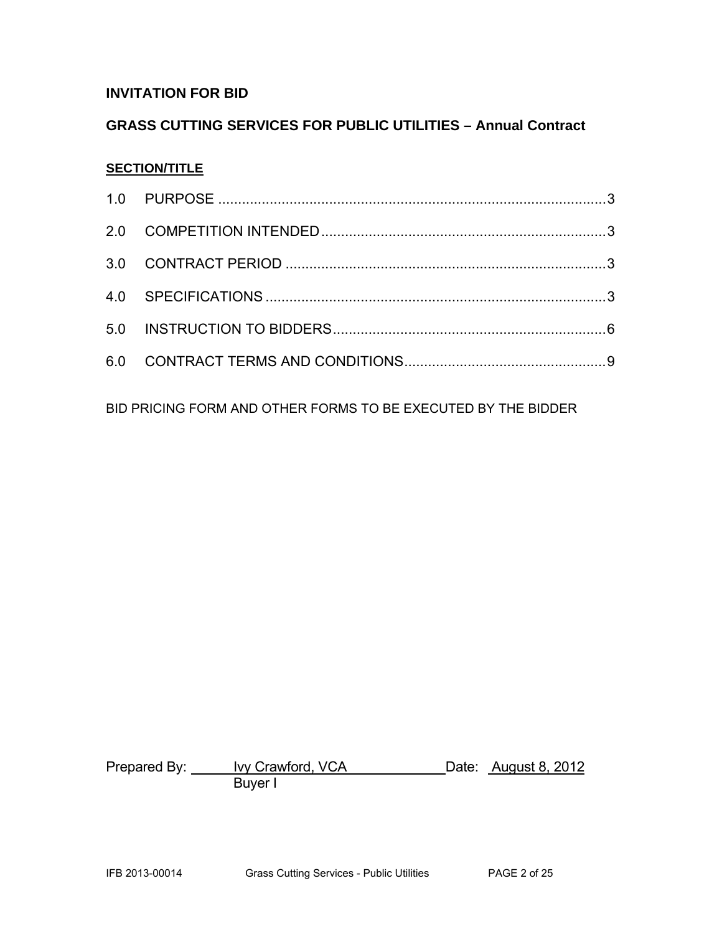### **INVITATION FOR BID**

### **GRASS CUTTING SERVICES FOR PUBLIC UTILITIES – Annual Contract**

#### **SECTION/TITLE**

BID PRICING FORM AND OTHER FORMS TO BE EXECUTED BY THE BIDDER

Prepared By: <u>Ivy Crawford, VCA</u> Date: August 8, 2012 e a barang Buyer I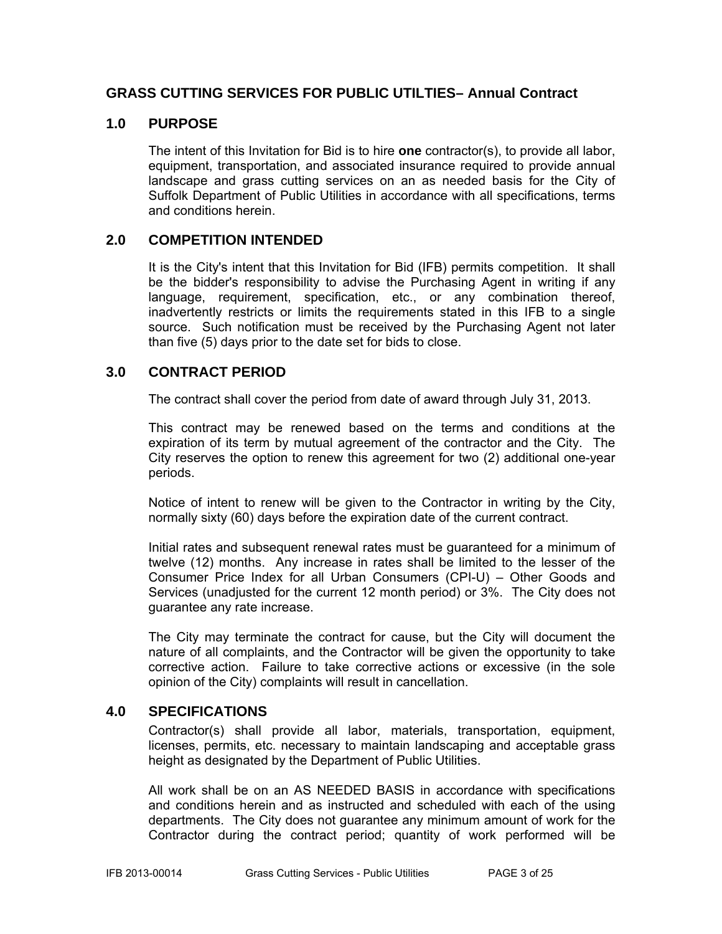#### **GRASS CUTTING SERVICES FOR PUBLIC UTILTIES– Annual Contract**

#### **1.0 PURPOSE**

The intent of this Invitation for Bid is to hire **one** contractor(s), to provide all labor, equipment, transportation, and associated insurance required to provide annual landscape and grass cutting services on an as needed basis for the City of Suffolk Department of Public Utilities in accordance with all specifications, terms and conditions herein.

#### **2.0 COMPETITION INTENDED**

It is the City's intent that this Invitation for Bid (IFB) permits competition. It shall be the bidder's responsibility to advise the Purchasing Agent in writing if any language, requirement, specification, etc., or any combination thereof, inadvertently restricts or limits the requirements stated in this IFB to a single source. Such notification must be received by the Purchasing Agent not later than five (5) days prior to the date set for bids to close.

#### **3.0 CONTRACT PERIOD**

The contract shall cover the period from date of award through July 31, 2013.

This contract may be renewed based on the terms and conditions at the expiration of its term by mutual agreement of the contractor and the City. The City reserves the option to renew this agreement for two (2) additional one-year periods.

Notice of intent to renew will be given to the Contractor in writing by the City, normally sixty (60) days before the expiration date of the current contract.

Initial rates and subsequent renewal rates must be guaranteed for a minimum of twelve (12) months. Any increase in rates shall be limited to the lesser of the Consumer Price Index for all Urban Consumers (CPI-U) – Other Goods and Services (unadjusted for the current 12 month period) or 3%. The City does not guarantee any rate increase.

The City may terminate the contract for cause, but the City will document the nature of all complaints, and the Contractor will be given the opportunity to take corrective action. Failure to take corrective actions or excessive (in the sole opinion of the City) complaints will result in cancellation.

#### **4.0 SPECIFICATIONS**

Contractor(s) shall provide all labor, materials, transportation, equipment, licenses, permits, etc. necessary to maintain landscaping and acceptable grass height as designated by the Department of Public Utilities.

All work shall be on an AS NEEDED BASIS in accordance with specifications and conditions herein and as instructed and scheduled with each of the using departments. The City does not guarantee any minimum amount of work for the Contractor during the contract period; quantity of work performed will be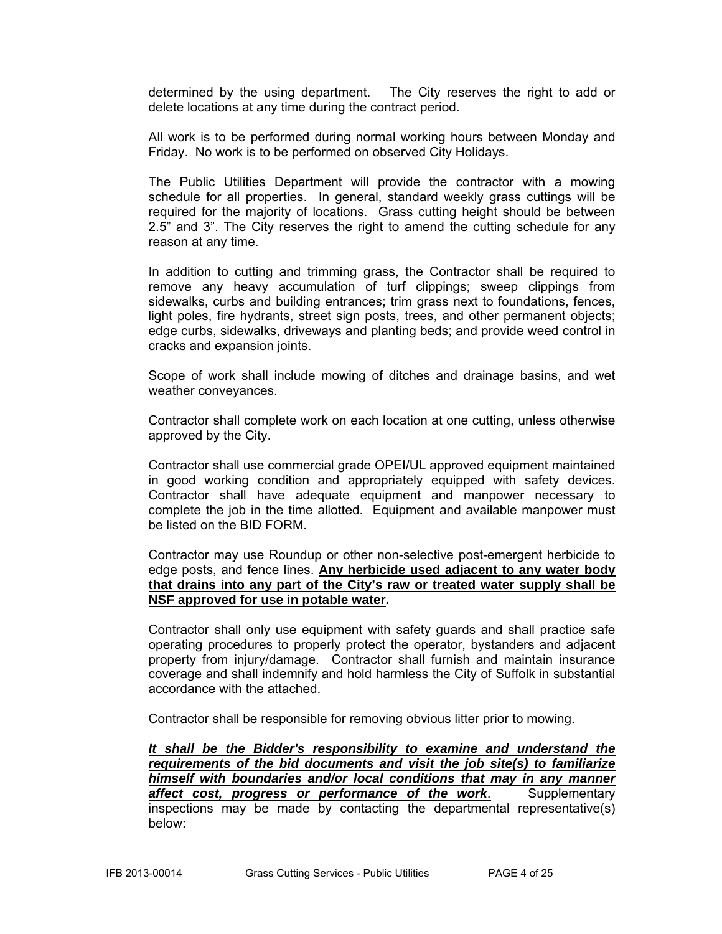determined by the using department. The City reserves the right to add or delete locations at any time during the contract period.

All work is to be performed during normal working hours between Monday and Friday. No work is to be performed on observed City Holidays.

The Public Utilities Department will provide the contractor with a mowing schedule for all properties. In general, standard weekly grass cuttings will be required for the majority of locations. Grass cutting height should be between 2.5" and 3". The City reserves the right to amend the cutting schedule for any reason at any time.

In addition to cutting and trimming grass, the Contractor shall be required to remove any heavy accumulation of turf clippings; sweep clippings from sidewalks, curbs and building entrances; trim grass next to foundations, fences, light poles, fire hydrants, street sign posts, trees, and other permanent objects; edge curbs, sidewalks, driveways and planting beds; and provide weed control in cracks and expansion joints.

Scope of work shall include mowing of ditches and drainage basins, and wet weather conveyances.

Contractor shall complete work on each location at one cutting, unless otherwise approved by the City.

Contractor shall use commercial grade OPEI/UL approved equipment maintained in good working condition and appropriately equipped with safety devices. Contractor shall have adequate equipment and manpower necessary to complete the job in the time allotted. Equipment and available manpower must be listed on the BID FORM.

Contractor may use Roundup or other non-selective post-emergent herbicide to edge posts, and fence lines. **Any herbicide used adjacent to any water body that drains into any part of the City's raw or treated water supply shall be NSF approved for use in potable water.**

Contractor shall only use equipment with safety guards and shall practice safe operating procedures to properly protect the operator, bystanders and adjacent property from injury/damage. Contractor shall furnish and maintain insurance coverage and shall indemnify and hold harmless the City of Suffolk in substantial accordance with the attached.

Contractor shall be responsible for removing obvious litter prior to mowing.

*It shall be the Bidder's responsibility to examine and understand the requirements of the bid documents and visit the job site(s) to familiarize himself with boundaries and/or local conditions that may in any manner affect cost, progress or performance of the work*. Supplementary inspections may be made by contacting the departmental representative(s) below: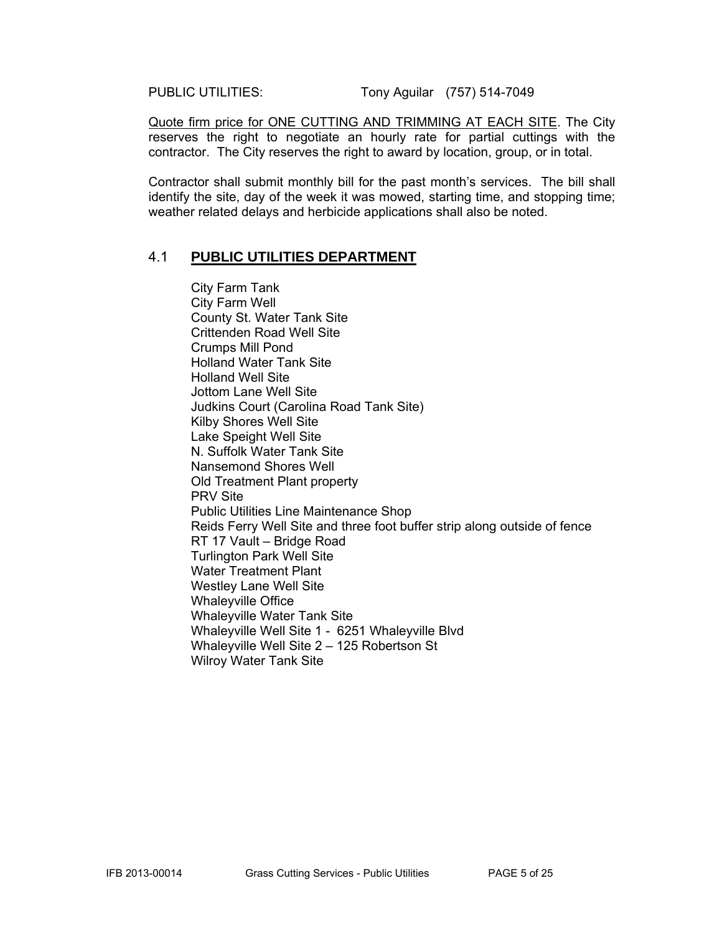PUBLIC UTILITIES: Tony Aguilar (757) 514-7049

Quote firm price for ONE CUTTING AND TRIMMING AT EACH SITE. The City reserves the right to negotiate an hourly rate for partial cuttings with the contractor. The City reserves the right to award by location, group, or in total.

Contractor shall submit monthly bill for the past month's services. The bill shall identify the site, day of the week it was mowed, starting time, and stopping time; weather related delays and herbicide applications shall also be noted.

#### 4.1 **PUBLIC UTILITIES DEPARTMENT**

City Farm Tank City Farm Well County St. Water Tank Site Crittenden Road Well Site Crumps Mill Pond Holland Water Tank Site Holland Well Site Jottom Lane Well Site Judkins Court (Carolina Road Tank Site) Kilby Shores Well Site Lake Speight Well Site N. Suffolk Water Tank Site Nansemond Shores Well Old Treatment Plant property PRV Site Public Utilities Line Maintenance Shop Reids Ferry Well Site and three foot buffer strip along outside of fence RT 17 Vault – Bridge Road Turlington Park Well Site Water Treatment Plant Westley Lane Well Site Whaleyville Office Whaleyville Water Tank Site Whaleyville Well Site 1 - 6251 Whaleyville Blvd Whaleyville Well Site 2 – 125 Robertson St Wilroy Water Tank Site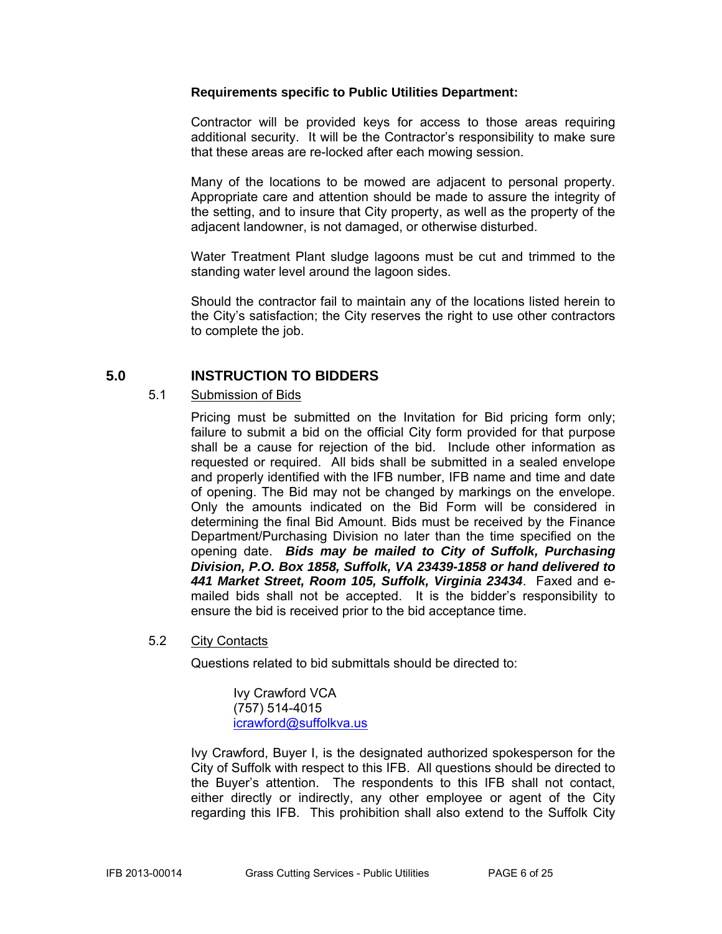#### **Requirements specific to Public Utilities Department:**

Contractor will be provided keys for access to those areas requiring additional security. It will be the Contractor's responsibility to make sure that these areas are re-locked after each mowing session.

Many of the locations to be mowed are adjacent to personal property. Appropriate care and attention should be made to assure the integrity of the setting, and to insure that City property, as well as the property of the adjacent landowner, is not damaged, or otherwise disturbed.

Water Treatment Plant sludge lagoons must be cut and trimmed to the standing water level around the lagoon sides.

Should the contractor fail to maintain any of the locations listed herein to the City's satisfaction; the City reserves the right to use other contractors to complete the job.

#### **5.0 INSTRUCTION TO BIDDERS**

#### 5.1 Submission of Bids

Pricing must be submitted on the Invitation for Bid pricing form only; failure to submit a bid on the official City form provided for that purpose shall be a cause for rejection of the bid. Include other information as requested or required. All bids shall be submitted in a sealed envelope and properly identified with the IFB number, IFB name and time and date of opening. The Bid may not be changed by markings on the envelope. Only the amounts indicated on the Bid Form will be considered in determining the final Bid Amount. Bids must be received by the Finance Department/Purchasing Division no later than the time specified on the opening date. *Bids may be mailed to City of Suffolk, Purchasing Division, P.O. Box 1858, Suffolk, VA 23439-1858 or hand delivered to 441 Market Street, Room 105, Suffolk, Virginia 23434*. Faxed and emailed bids shall not be accepted. It is the bidder's responsibility to ensure the bid is received prior to the bid acceptance time.

#### 5.2 City Contacts

Questions related to bid submittals should be directed to:

 Ivy Crawford VCA (757) 514-4015 icrawford@suffolkva.us

Ivy Crawford, Buyer I, is the designated authorized spokesperson for the City of Suffolk with respect to this IFB. All questions should be directed to the Buyer's attention. The respondents to this IFB shall not contact, either directly or indirectly, any other employee or agent of the City regarding this IFB. This prohibition shall also extend to the Suffolk City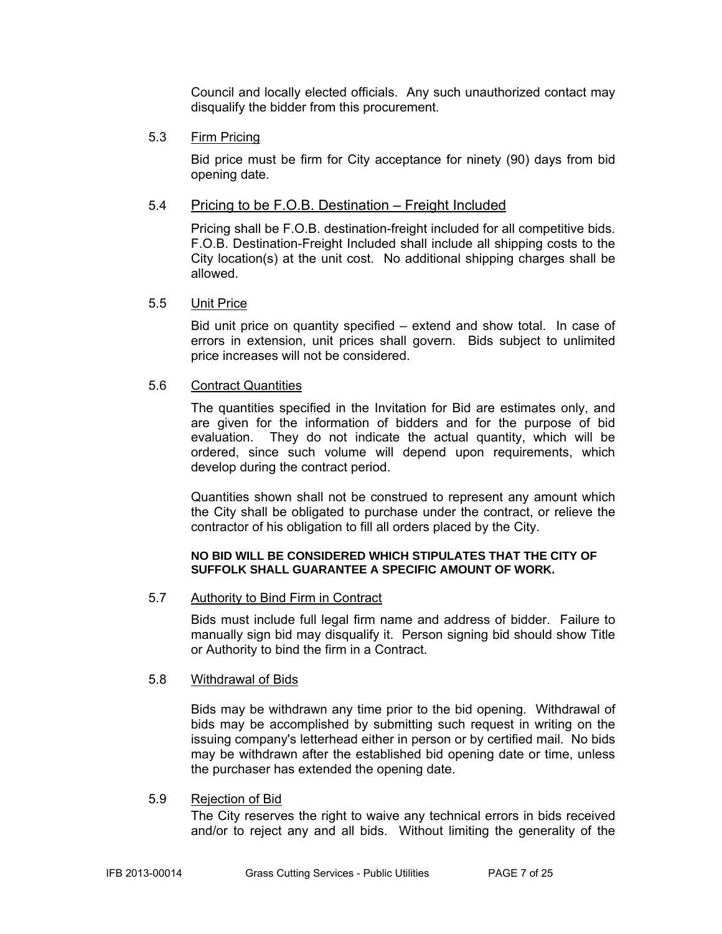Council and locally elected officials. Any such unauthorized contact may disqualify the bidder from this procurement.

#### 5.3 Firm Pricing

Bid price must be firm for City acceptance for ninety (90) days from bid opening date.

#### 5.4 Pricing to be F.O.B. Destination – Freight Included

Pricing shall be F.O.B. destination-freight included for all competitive bids. F.O.B. Destination-Freight Included shall include all shipping costs to the City location(s) at the unit cost. No additional shipping charges shall be allowed.

#### 5.5 Unit Price

Bid unit price on quantity specified – extend and show total. In case of errors in extension, unit prices shall govern. Bids subject to unlimited price increases will not be considered.

#### 5.6 Contract Quantities

The quantities specified in the Invitation for Bid are estimates only, and are given for the information of bidders and for the purpose of bid evaluation. They do not indicate the actual quantity, which will be ordered, since such volume will depend upon requirements, which develop during the contract period.

Quantities shown shall not be construed to represent any amount which the City shall be obligated to purchase under the contract, or relieve the contractor of his obligation to fill all orders placed by the City.

#### **NO BID WILL BE CONSIDERED WHICH STIPULATES THAT THE CITY OF SUFFOLK SHALL GUARANTEE A SPECIFIC AMOUNT OF WORK.**

#### 5.7 Authority to Bind Firm in Contract

Bids must include full legal firm name and address of bidder. Failure to manually sign bid may disqualify it. Person signing bid should show Title or Authority to bind the firm in a Contract.

#### 5.8 Withdrawal of Bids

Bids may be withdrawn any time prior to the bid opening. Withdrawal of bids may be accomplished by submitting such request in writing on the issuing company's letterhead either in person or by certified mail. No bids may be withdrawn after the established bid opening date or time, unless the purchaser has extended the opening date.

#### 5.9 Rejection of Bid

The City reserves the right to waive any technical errors in bids received and/or to reject any and all bids. Without limiting the generality of the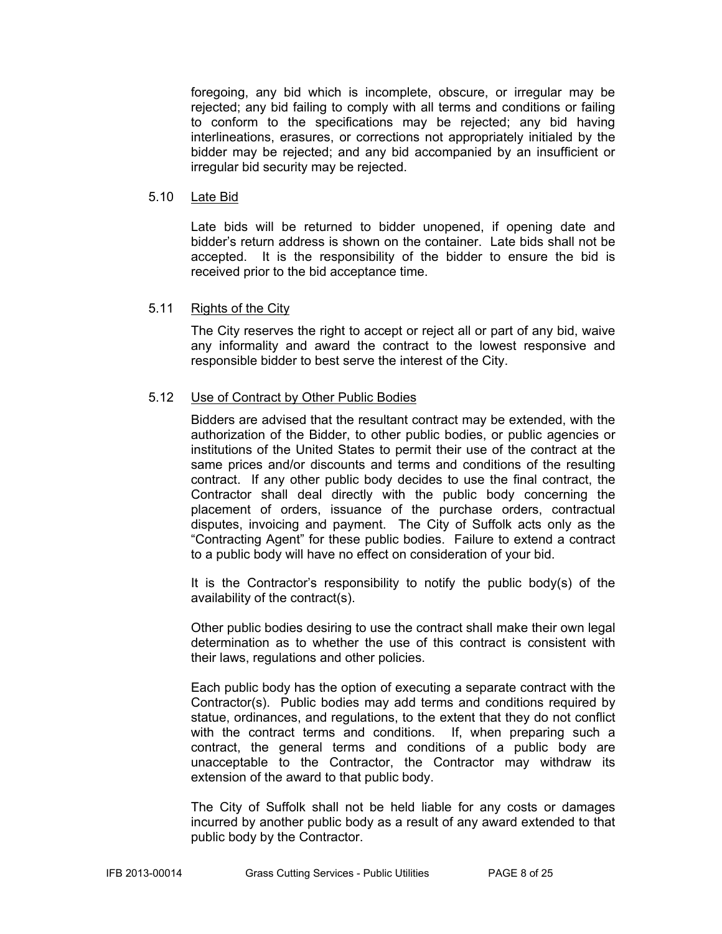foregoing, any bid which is incomplete, obscure, or irregular may be rejected; any bid failing to comply with all terms and conditions or failing to conform to the specifications may be rejected; any bid having interlineations, erasures, or corrections not appropriately initialed by the bidder may be rejected; and any bid accompanied by an insufficient or irregular bid security may be rejected.

#### 5.10 Late Bid

Late bids will be returned to bidder unopened, if opening date and bidder's return address is shown on the container. Late bids shall not be accepted. It is the responsibility of the bidder to ensure the bid is received prior to the bid acceptance time.

#### 5.11 Rights of the City

The City reserves the right to accept or reject all or part of any bid, waive any informality and award the contract to the lowest responsive and responsible bidder to best serve the interest of the City.

#### 5.12 Use of Contract by Other Public Bodies

Bidders are advised that the resultant contract may be extended, with the authorization of the Bidder, to other public bodies, or public agencies or institutions of the United States to permit their use of the contract at the same prices and/or discounts and terms and conditions of the resulting contract. If any other public body decides to use the final contract, the Contractor shall deal directly with the public body concerning the placement of orders, issuance of the purchase orders, contractual disputes, invoicing and payment. The City of Suffolk acts only as the "Contracting Agent" for these public bodies. Failure to extend a contract to a public body will have no effect on consideration of your bid.

It is the Contractor's responsibility to notify the public body(s) of the availability of the contract(s).

Other public bodies desiring to use the contract shall make their own legal determination as to whether the use of this contract is consistent with their laws, regulations and other policies.

Each public body has the option of executing a separate contract with the Contractor(s). Public bodies may add terms and conditions required by statue, ordinances, and regulations, to the extent that they do not conflict with the contract terms and conditions. If, when preparing such a contract, the general terms and conditions of a public body are unacceptable to the Contractor, the Contractor may withdraw its extension of the award to that public body.

The City of Suffolk shall not be held liable for any costs or damages incurred by another public body as a result of any award extended to that public body by the Contractor.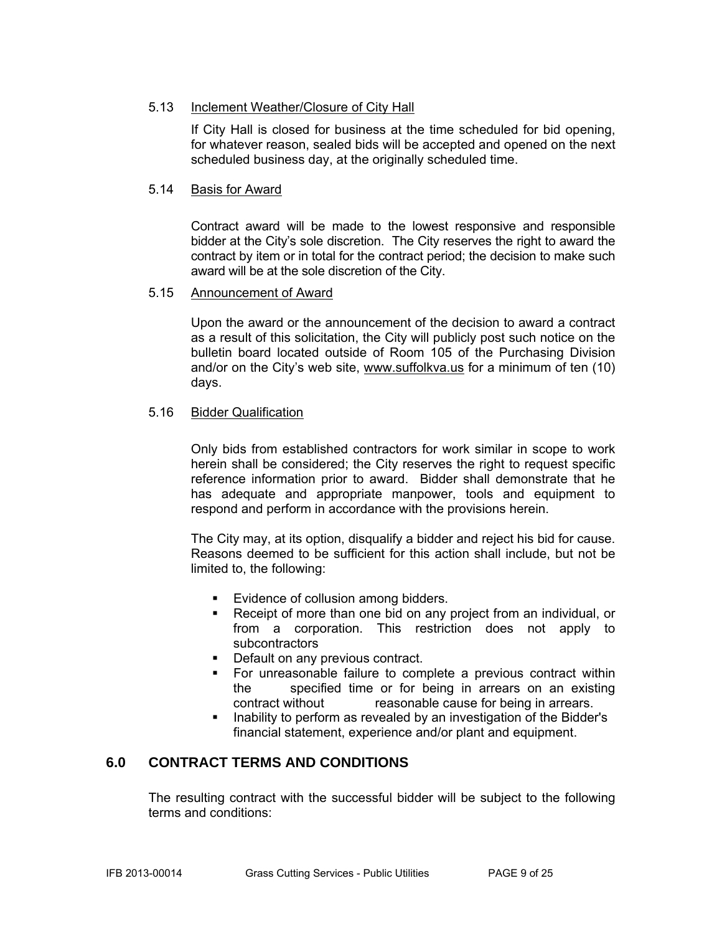#### 5.13 Inclement Weather/Closure of City Hall

If City Hall is closed for business at the time scheduled for bid opening, for whatever reason, sealed bids will be accepted and opened on the next scheduled business day, at the originally scheduled time.

#### 5.14 Basis for Award

Contract award will be made to the lowest responsive and responsible bidder at the City's sole discretion. The City reserves the right to award the contract by item or in total for the contract period; the decision to make such award will be at the sole discretion of the City.

#### 5.15 Announcement of Award

Upon the award or the announcement of the decision to award a contract as a result of this solicitation, the City will publicly post such notice on the bulletin board located outside of Room 105 of the Purchasing Division and/or on the City's web site, www.suffolkva.us for a minimum of ten (10) days.

#### 5.16 Bidder Qualification

Only bids from established contractors for work similar in scope to work herein shall be considered; the City reserves the right to request specific reference information prior to award. Bidder shall demonstrate that he has adequate and appropriate manpower, tools and equipment to respond and perform in accordance with the provisions herein.

The City may, at its option, disqualify a bidder and reject his bid for cause. Reasons deemed to be sufficient for this action shall include, but not be limited to, the following:

- **Evidence of collusion among bidders.**
- Receipt of more than one bid on any project from an individual, or from a corporation. This restriction does not apply to subcontractors
- Default on any previous contract.
- **For unreasonable failure to complete a previous contract within** the specified time or for being in arrears on an existing contract without reasonable cause for being in arrears.
- **Inability to perform as revealed by an investigation of the Bidder's** financial statement, experience and/or plant and equipment.

#### **6.0 CONTRACT TERMS AND CONDITIONS**

The resulting contract with the successful bidder will be subject to the following terms and conditions: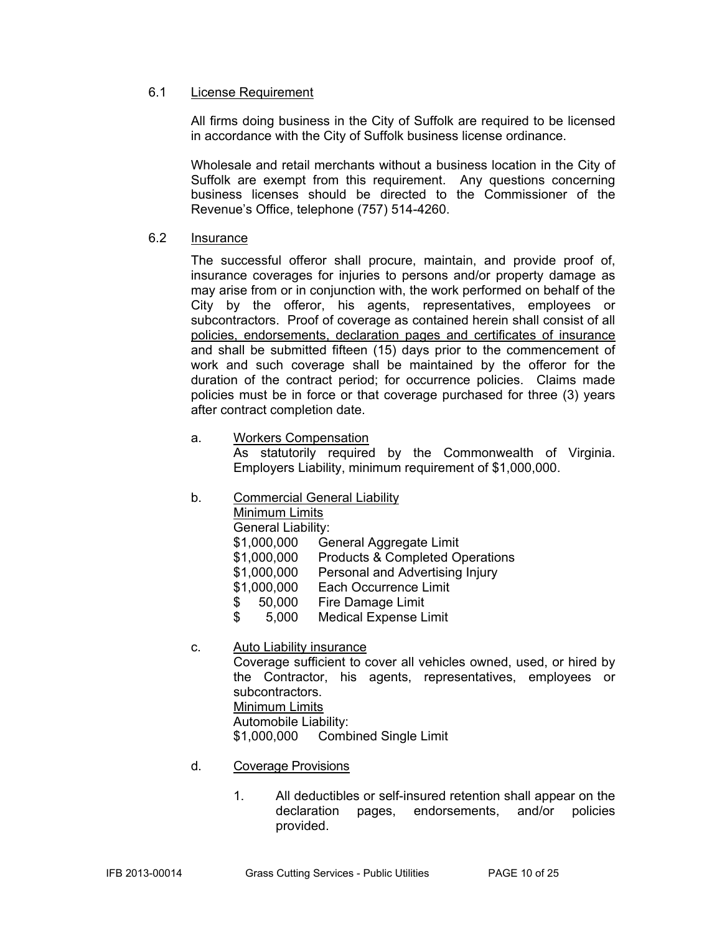#### 6.1 License Requirement

All firms doing business in the City of Suffolk are required to be licensed in accordance with the City of Suffolk business license ordinance.

Wholesale and retail merchants without a business location in the City of Suffolk are exempt from this requirement. Any questions concerning business licenses should be directed to the Commissioner of the Revenue's Office, telephone (757) 514-4260.

#### 6.2 Insurance

The successful offeror shall procure, maintain, and provide proof of, insurance coverages for injuries to persons and/or property damage as may arise from or in conjunction with, the work performed on behalf of the City by the offeror, his agents, representatives, employees or subcontractors. Proof of coverage as contained herein shall consist of all policies, endorsements, declaration pages and certificates of insurance and shall be submitted fifteen (15) days prior to the commencement of work and such coverage shall be maintained by the offeror for the duration of the contract period; for occurrence policies. Claims made policies must be in force or that coverage purchased for three (3) years after contract completion date.

a. Workers Compensation

As statutorily required by the Commonwealth of Virginia. Employers Liability, minimum requirement of \$1,000,000.

#### b. Commercial General Liability

Minimum Limits

General Liability:

- \$1,000,000 General Aggregate Limit
- \$1,000,000 Products & Completed Operations
- \$1,000,000 Personal and Advertising Injury
- \$1,000,000 Each Occurrence Limit
- \$ 50,000 Fire Damage Limit
- \$ 5,000 Medical Expense Limit

#### c. Auto Liability insurance

Coverage sufficient to cover all vehicles owned, used, or hired by the Contractor, his agents, representatives, employees or subcontractors. Minimum Limits

Automobile Liability:

\$1,000,000 Combined Single Limit

- d. Coverage Provisions
	- 1. All deductibles or self-insured retention shall appear on the declaration pages, endorsements, and/or policies provided.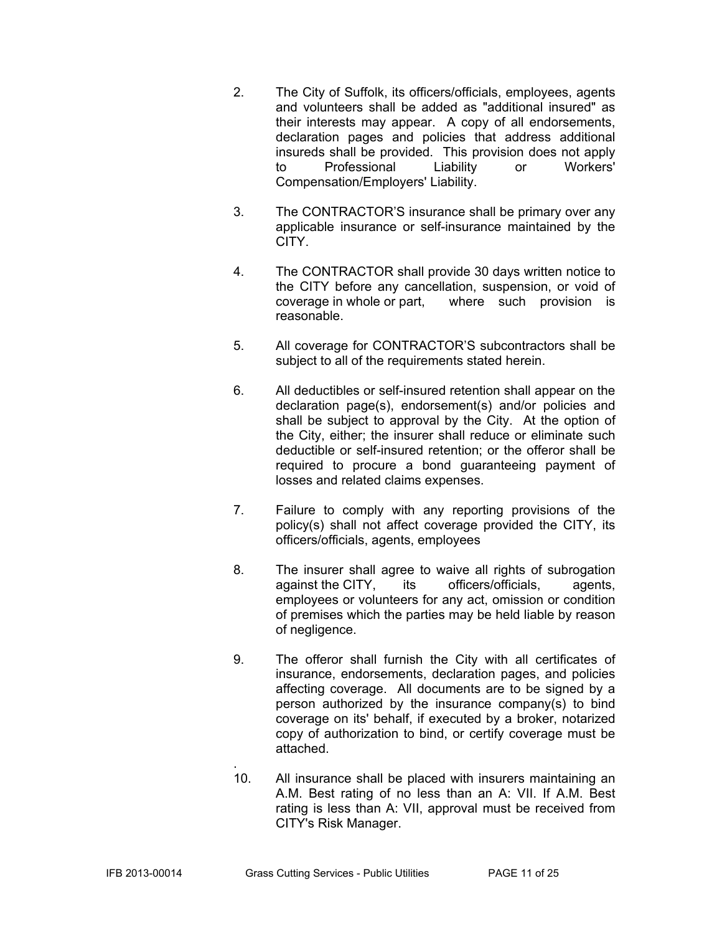- 2. The City of Suffolk, its officers/officials, employees, agents and volunteers shall be added as "additional insured" as their interests may appear. A copy of all endorsements, declaration pages and policies that address additional insureds shall be provided. This provision does not apply to Professional Liability or Workers' Compensation/Employers' Liability.
- 3. The CONTRACTOR'S insurance shall be primary over any applicable insurance or self-insurance maintained by the CITY.
- 4. The CONTRACTOR shall provide 30 days written notice to the CITY before any cancellation, suspension, or void of coverage in whole or part, where such provision is reasonable.
- 5. All coverage for CONTRACTOR'S subcontractors shall be subject to all of the requirements stated herein.
- 6. All deductibles or self-insured retention shall appear on the declaration page(s), endorsement(s) and/or policies and shall be subject to approval by the City. At the option of the City, either; the insurer shall reduce or eliminate such deductible or self-insured retention; or the offeror shall be required to procure a bond guaranteeing payment of losses and related claims expenses.
- 7. Failure to comply with any reporting provisions of the policy(s) shall not affect coverage provided the CITY, its officers/officials, agents, employees
- 8. The insurer shall agree to waive all rights of subrogation against the CITY, its officers/officials, agents, against the CITY, its officers/officials, agents, employees or volunteers for any act, omission or condition of premises which the parties may be held liable by reason of negligence.
- 9. The offeror shall furnish the City with all certificates of insurance, endorsements, declaration pages, and policies affecting coverage. All documents are to be signed by a person authorized by the insurance company(s) to bind coverage on its' behalf, if executed by a broker, notarized copy of authorization to bind, or certify coverage must be attached.
- . 10. All insurance shall be placed with insurers maintaining an A.M. Best rating of no less than an A: VII. If A.M. Best rating is less than A: VII, approval must be received from CITY's Risk Manager.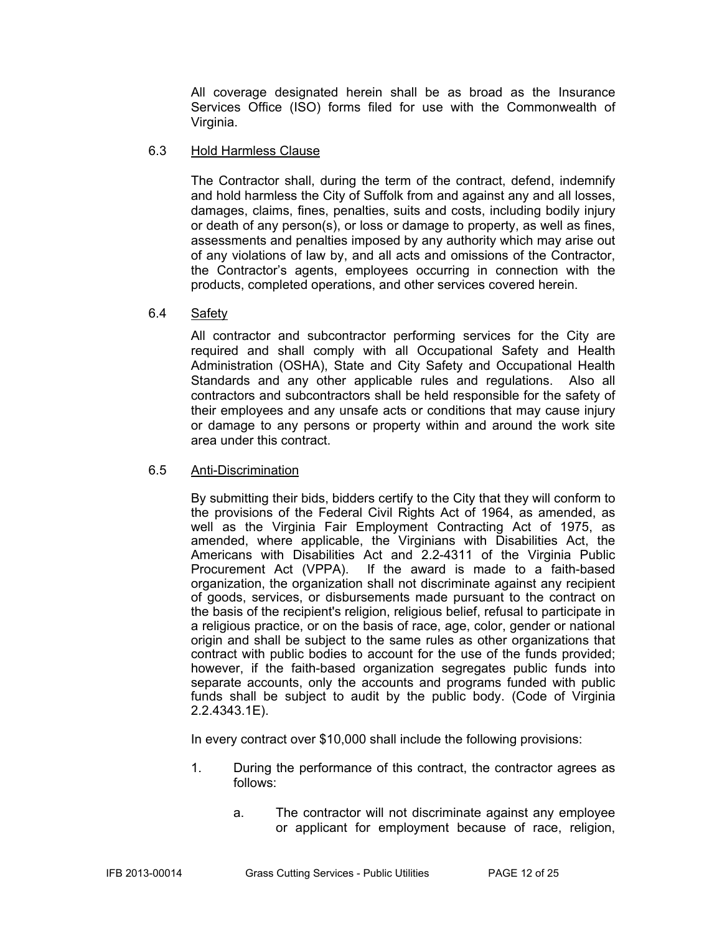All coverage designated herein shall be as broad as the Insurance Services Office (ISO) forms filed for use with the Commonwealth of Virginia.

#### 6.3 Hold Harmless Clause

The Contractor shall, during the term of the contract, defend, indemnify and hold harmless the City of Suffolk from and against any and all losses, damages, claims, fines, penalties, suits and costs, including bodily injury or death of any person(s), or loss or damage to property, as well as fines, assessments and penalties imposed by any authority which may arise out of any violations of law by, and all acts and omissions of the Contractor, the Contractor's agents, employees occurring in connection with the products, completed operations, and other services covered herein.

#### 6.4 Safety

All contractor and subcontractor performing services for the City are required and shall comply with all Occupational Safety and Health Administration (OSHA), State and City Safety and Occupational Health Standards and any other applicable rules and regulations. Also all contractors and subcontractors shall be held responsible for the safety of their employees and any unsafe acts or conditions that may cause injury or damage to any persons or property within and around the work site area under this contract.

#### 6.5 Anti-Discrimination

By submitting their bids, bidders certify to the City that they will conform to the provisions of the Federal Civil Rights Act of 1964, as amended, as well as the Virginia Fair Employment Contracting Act of 1975, as amended, where applicable, the Virginians with Disabilities Act, the Americans with Disabilities Act and 2.2-4311 of the Virginia Public Procurement Act (VPPA). If the award is made to a faith-based organization, the organization shall not discriminate against any recipient of goods, services, or disbursements made pursuant to the contract on the basis of the recipient's religion, religious belief, refusal to participate in a religious practice, or on the basis of race, age, color, gender or national origin and shall be subject to the same rules as other organizations that contract with public bodies to account for the use of the funds provided; however, if the faith-based organization segregates public funds into separate accounts, only the accounts and programs funded with public funds shall be subject to audit by the public body. (Code of Virginia 2.2.4343.1E).

In every contract over \$10,000 shall include the following provisions:

- 1. During the performance of this contract, the contractor agrees as follows:
	- a. The contractor will not discriminate against any employee or applicant for employment because of race, religion,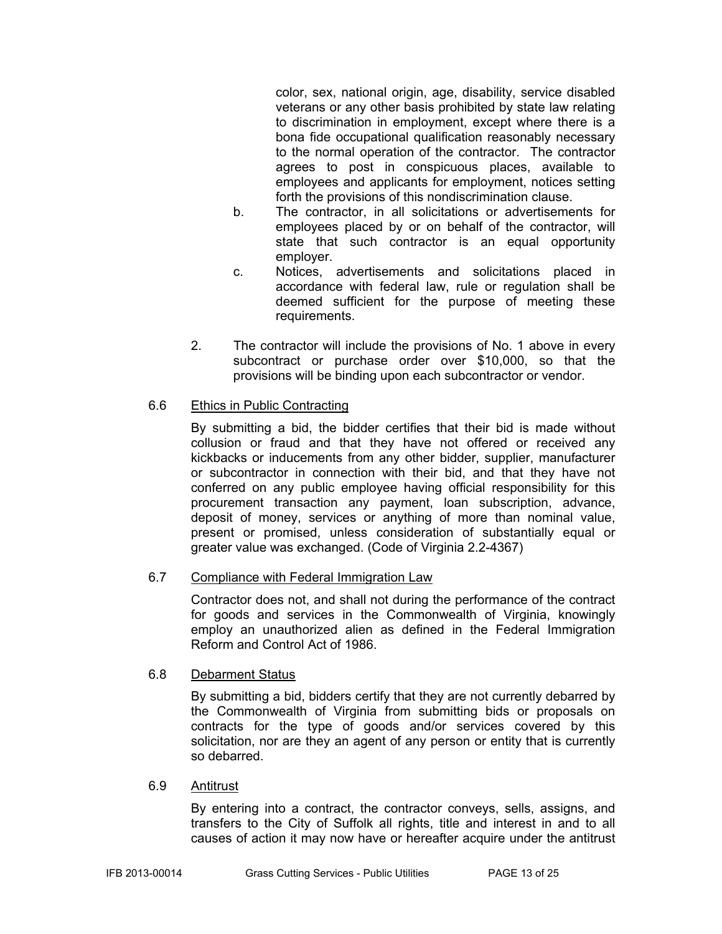color, sex, national origin, age, disability, service disabled veterans or any other basis prohibited by state law relating to discrimination in employment, except where there is a bona fide occupational qualification reasonably necessary to the normal operation of the contractor. The contractor agrees to post in conspicuous places, available to employees and applicants for employment, notices setting forth the provisions of this nondiscrimination clause.

- b. The contractor, in all solicitations or advertisements for employees placed by or on behalf of the contractor, will state that such contractor is an equal opportunity employer.
- c. Notices, advertisements and solicitations placed in accordance with federal law, rule or regulation shall be deemed sufficient for the purpose of meeting these requirements.
- 2. The contractor will include the provisions of No. 1 above in every subcontract or purchase order over \$10,000, so that the provisions will be binding upon each subcontractor or vendor.

#### 6.6 Ethics in Public Contracting

By submitting a bid, the bidder certifies that their bid is made without collusion or fraud and that they have not offered or received any kickbacks or inducements from any other bidder, supplier, manufacturer or subcontractor in connection with their bid, and that they have not conferred on any public employee having official responsibility for this procurement transaction any payment, loan subscription, advance, deposit of money, services or anything of more than nominal value, present or promised, unless consideration of substantially equal or greater value was exchanged. (Code of Virginia 2.2-4367)

#### 6.7 Compliance with Federal Immigration Law

Contractor does not, and shall not during the performance of the contract for goods and services in the Commonwealth of Virginia, knowingly employ an unauthorized alien as defined in the Federal Immigration Reform and Control Act of 1986.

#### 6.8 Debarment Status

By submitting a bid, bidders certify that they are not currently debarred by the Commonwealth of Virginia from submitting bids or proposals on contracts for the type of goods and/or services covered by this solicitation, nor are they an agent of any person or entity that is currently so debarred.

#### 6.9 Antitrust

By entering into a contract, the contractor conveys, sells, assigns, and transfers to the City of Suffolk all rights, title and interest in and to all causes of action it may now have or hereafter acquire under the antitrust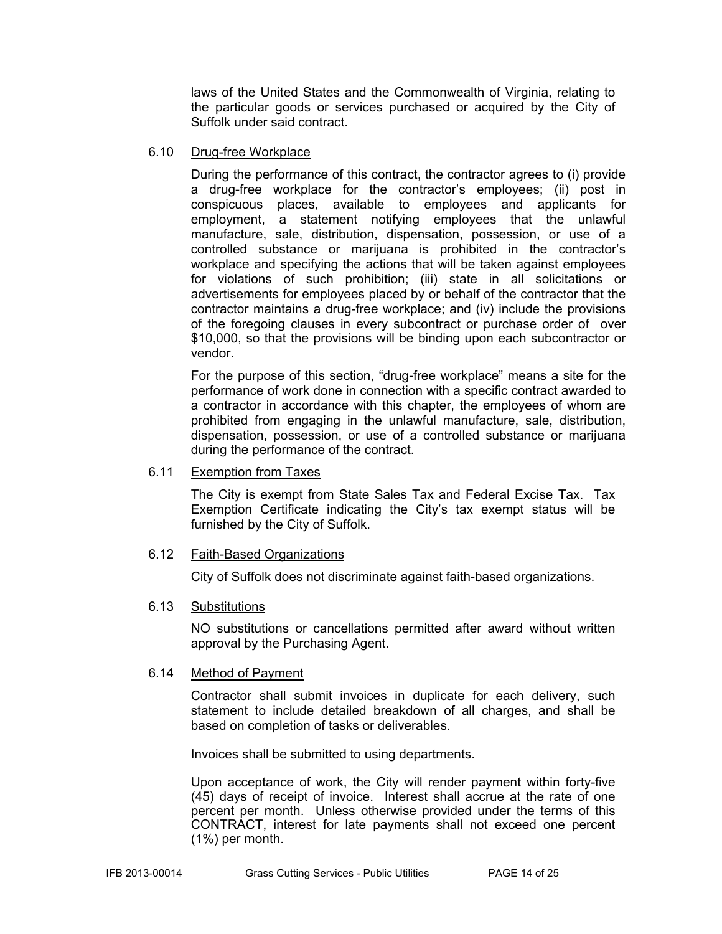laws of the United States and the Commonwealth of Virginia, relating to the particular goods or services purchased or acquired by the City of Suffolk under said contract.

#### 6.10 Drug-free Workplace

During the performance of this contract, the contractor agrees to (i) provide a drug-free workplace for the contractor's employees; (ii) post in conspicuous places, available to employees and applicants for employment, a statement notifying employees that the unlawful manufacture, sale, distribution, dispensation, possession, or use of a controlled substance or marijuana is prohibited in the contractor's workplace and specifying the actions that will be taken against employees for violations of such prohibition; (iii) state in all solicitations or advertisements for employees placed by or behalf of the contractor that the contractor maintains a drug-free workplace; and (iv) include the provisions of the foregoing clauses in every subcontract or purchase order of over \$10,000, so that the provisions will be binding upon each subcontractor or vendor.

For the purpose of this section, "drug-free workplace" means a site for the performance of work done in connection with a specific contract awarded to a contractor in accordance with this chapter, the employees of whom are prohibited from engaging in the unlawful manufacture, sale, distribution, dispensation, possession, or use of a controlled substance or marijuana during the performance of the contract.

#### 6.11 Exemption from Taxes

The City is exempt from State Sales Tax and Federal Excise Tax. Tax Exemption Certificate indicating the City's tax exempt status will be furnished by the City of Suffolk.

#### 6.12 Faith-Based Organizations

City of Suffolk does not discriminate against faith-based organizations.

#### 6.13 Substitutions

NO substitutions or cancellations permitted after award without written approval by the Purchasing Agent.

#### 6.14 Method of Payment

Contractor shall submit invoices in duplicate for each delivery, such statement to include detailed breakdown of all charges, and shall be based on completion of tasks or deliverables.

Invoices shall be submitted to using departments.

Upon acceptance of work, the City will render payment within forty-five (45) days of receipt of invoice. Interest shall accrue at the rate of one percent per month. Unless otherwise provided under the terms of this CONTRACT, interest for late payments shall not exceed one percent (1%) per month.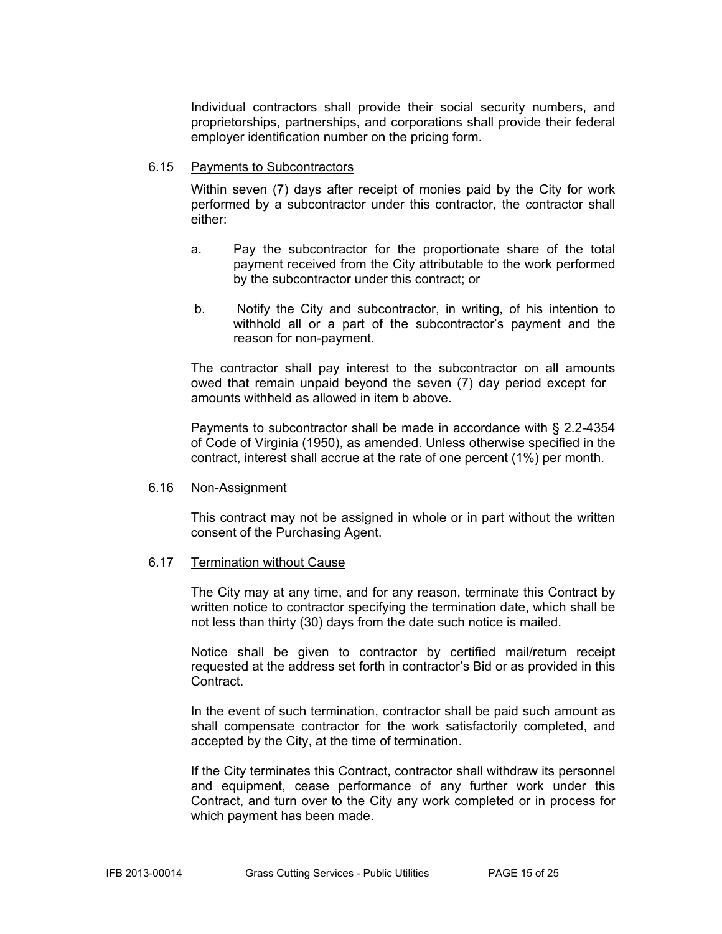Individual contractors shall provide their social security numbers, and proprietorships, partnerships, and corporations shall provide their federal employer identification number on the pricing form.

#### 6.15 Payments to Subcontractors

Within seven (7) days after receipt of monies paid by the City for work performed by a subcontractor under this contractor, the contractor shall either:

- a. Pay the subcontractor for the proportionate share of the total payment received from the City attributable to the work performed by the subcontractor under this contract; or
- b. Notify the City and subcontractor, in writing, of his intention to withhold all or a part of the subcontractor's payment and the reason for non-payment.

The contractor shall pay interest to the subcontractor on all amounts owed that remain unpaid beyond the seven (7) day period except for amounts withheld as allowed in item b above.

Payments to subcontractor shall be made in accordance with § 2.2-4354 of Code of Virginia (1950), as amended. Unless otherwise specified in the contract, interest shall accrue at the rate of one percent (1%) per month.

#### 6.16 Non-Assignment

This contract may not be assigned in whole or in part without the written consent of the Purchasing Agent.

#### 6.17 Termination without Cause

The City may at any time, and for any reason, terminate this Contract by written notice to contractor specifying the termination date, which shall be not less than thirty (30) days from the date such notice is mailed.

Notice shall be given to contractor by certified mail/return receipt requested at the address set forth in contractor's Bid or as provided in this Contract.

In the event of such termination, contractor shall be paid such amount as shall compensate contractor for the work satisfactorily completed, and accepted by the City, at the time of termination.

If the City terminates this Contract, contractor shall withdraw its personnel and equipment, cease performance of any further work under this Contract, and turn over to the City any work completed or in process for which payment has been made.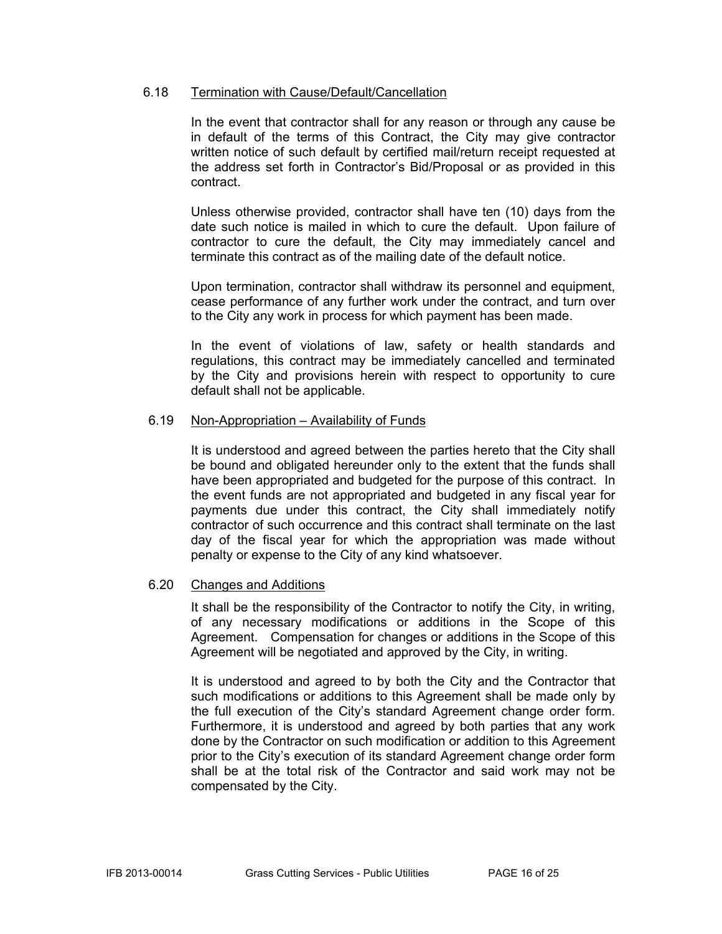#### 6.18 Termination with Cause/Default/Cancellation

In the event that contractor shall for any reason or through any cause be in default of the terms of this Contract, the City may give contractor written notice of such default by certified mail/return receipt requested at the address set forth in Contractor's Bid/Proposal or as provided in this contract.

Unless otherwise provided, contractor shall have ten (10) days from the date such notice is mailed in which to cure the default. Upon failure of contractor to cure the default, the City may immediately cancel and terminate this contract as of the mailing date of the default notice.

Upon termination, contractor shall withdraw its personnel and equipment, cease performance of any further work under the contract, and turn over to the City any work in process for which payment has been made.

In the event of violations of law, safety or health standards and regulations, this contract may be immediately cancelled and terminated by the City and provisions herein with respect to opportunity to cure default shall not be applicable.

#### 6.19 Non-Appropriation – Availability of Funds

It is understood and agreed between the parties hereto that the City shall be bound and obligated hereunder only to the extent that the funds shall have been appropriated and budgeted for the purpose of this contract. In the event funds are not appropriated and budgeted in any fiscal year for payments due under this contract, the City shall immediately notify contractor of such occurrence and this contract shall terminate on the last day of the fiscal year for which the appropriation was made without penalty or expense to the City of any kind whatsoever.

#### 6.20 Changes and Additions

It shall be the responsibility of the Contractor to notify the City, in writing, of any necessary modifications or additions in the Scope of this Agreement. Compensation for changes or additions in the Scope of this Agreement will be negotiated and approved by the City, in writing.

It is understood and agreed to by both the City and the Contractor that such modifications or additions to this Agreement shall be made only by the full execution of the City's standard Agreement change order form. Furthermore, it is understood and agreed by both parties that any work done by the Contractor on such modification or addition to this Agreement prior to the City's execution of its standard Agreement change order form shall be at the total risk of the Contractor and said work may not be compensated by the City.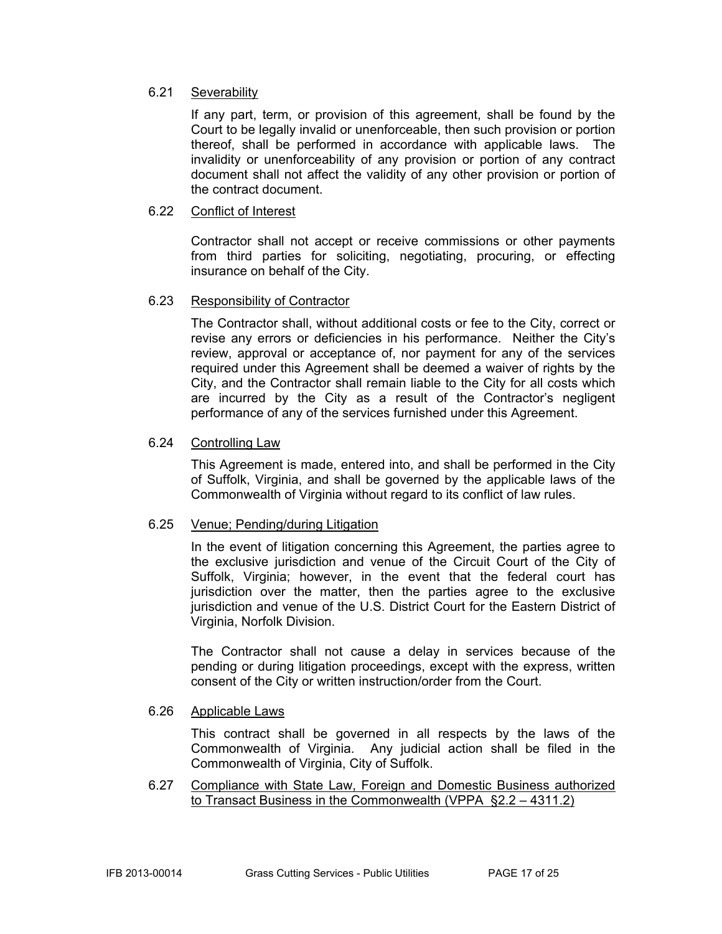#### 6.21 Severability

If any part, term, or provision of this agreement, shall be found by the Court to be legally invalid or unenforceable, then such provision or portion thereof, shall be performed in accordance with applicable laws. The invalidity or unenforceability of any provision or portion of any contract document shall not affect the validity of any other provision or portion of the contract document.

#### 6.22 Conflict of Interest

Contractor shall not accept or receive commissions or other payments from third parties for soliciting, negotiating, procuring, or effecting insurance on behalf of the City.

#### 6.23 Responsibility of Contractor

The Contractor shall, without additional costs or fee to the City, correct or revise any errors or deficiencies in his performance. Neither the City's review, approval or acceptance of, nor payment for any of the services required under this Agreement shall be deemed a waiver of rights by the City, and the Contractor shall remain liable to the City for all costs which are incurred by the City as a result of the Contractor's negligent performance of any of the services furnished under this Agreement.

#### 6.24 Controlling Law

This Agreement is made, entered into, and shall be performed in the City of Suffolk, Virginia, and shall be governed by the applicable laws of the Commonwealth of Virginia without regard to its conflict of law rules.

#### 6.25 Venue; Pending/during Litigation

In the event of litigation concerning this Agreement, the parties agree to the exclusive jurisdiction and venue of the Circuit Court of the City of Suffolk, Virginia; however, in the event that the federal court has jurisdiction over the matter, then the parties agree to the exclusive jurisdiction and venue of the U.S. District Court for the Eastern District of Virginia, Norfolk Division.

The Contractor shall not cause a delay in services because of the pending or during litigation proceedings, except with the express, written consent of the City or written instruction/order from the Court.

#### 6.26 Applicable Laws

This contract shall be governed in all respects by the laws of the Commonwealth of Virginia. Any judicial action shall be filed in the Commonwealth of Virginia, City of Suffolk.

6.27 Compliance with State Law, Foreign and Domestic Business authorized to Transact Business in the Commonwealth (VPPA §2.2 – 4311.2)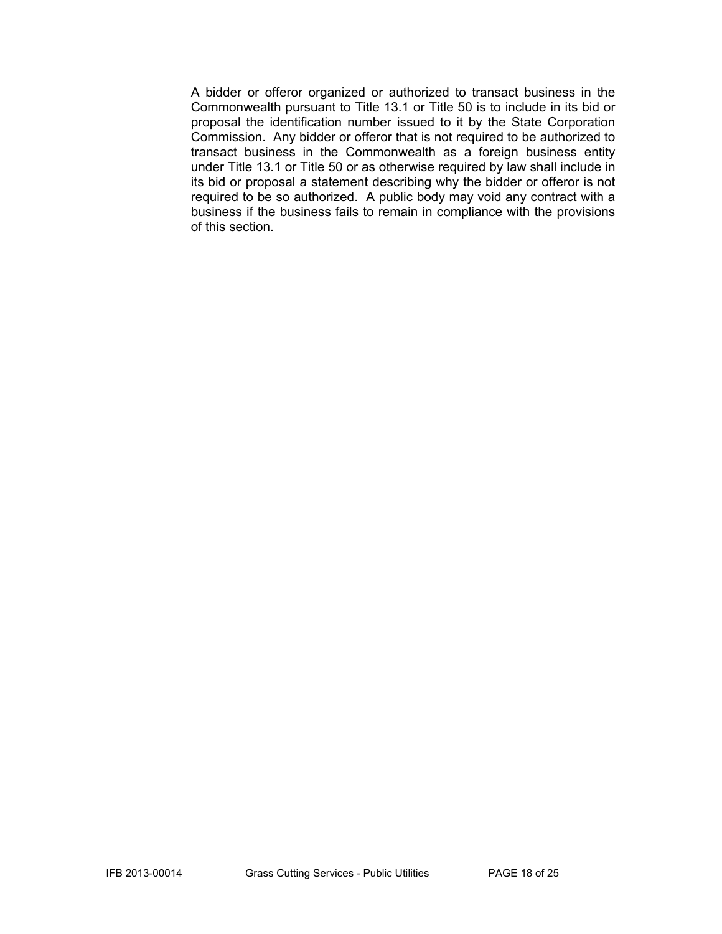A bidder or offeror organized or authorized to transact business in the Commonwealth pursuant to Title 13.1 or Title 50 is to include in its bid or proposal the identification number issued to it by the State Corporation Commission. Any bidder or offeror that is not required to be authorized to transact business in the Commonwealth as a foreign business entity under Title 13.1 or Title 50 or as otherwise required by law shall include in its bid or proposal a statement describing why the bidder or offeror is not required to be so authorized. A public body may void any contract with a business if the business fails to remain in compliance with the provisions of this section.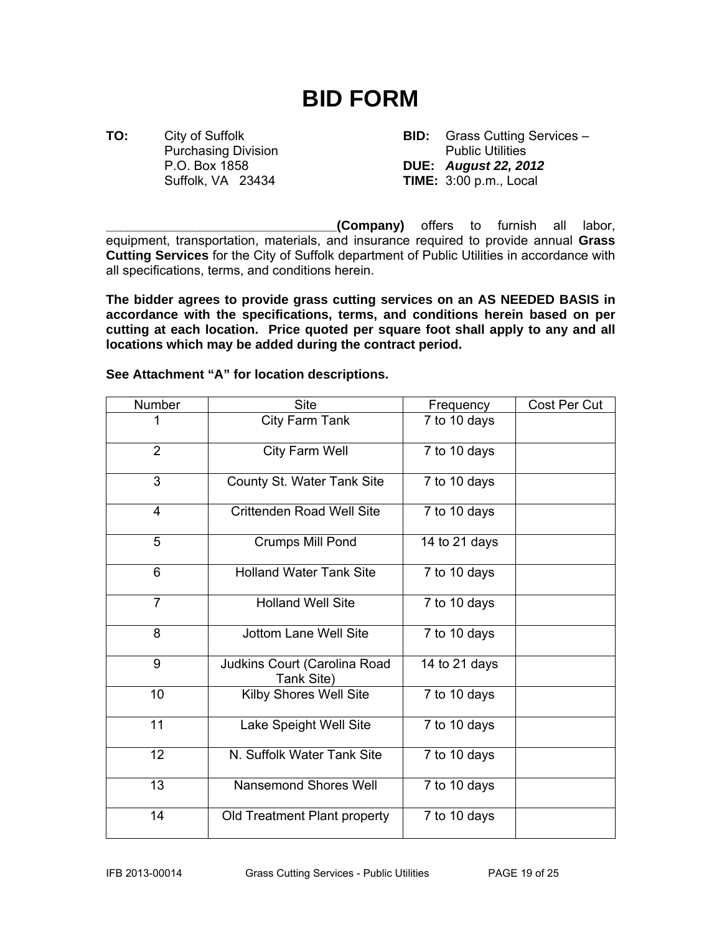# **BID FORM**

**TO:** City of Suffolk **BID:** Grass Cutting Services – Purchasing Division **Public Utilities** P.O. Box 1858 **DUE:** *August 22, 2012* Suffolk, VA 23434 **TIME:** 3:00 p.m., Local

**\_\_\_\_\_\_\_\_\_\_\_\_\_\_\_\_\_\_\_\_\_\_\_\_\_\_\_\_\_\_\_\_(Company)** offers to furnish all labor, equipment, transportation, materials, and insurance required to provide annual **Grass Cutting Services** for the City of Suffolk department of Public Utilities in accordance with all specifications, terms, and conditions herein.

**The bidder agrees to provide grass cutting services on an AS NEEDED BASIS in accordance with the specifications, terms, and conditions herein based on per cutting at each location. Price quoted per square foot shall apply to any and all locations which may be added during the contract period.** 

| Number         | <b>Site</b>                                | Frequency     | Cost Per Cut |
|----------------|--------------------------------------------|---------------|--------------|
| 1              | City Farm Tank                             | 7 to 10 days  |              |
| 2              | City Farm Well                             | 7 to 10 days  |              |
| 3              | County St. Water Tank Site                 | 7 to 10 days  |              |
| $\overline{4}$ | <b>Crittenden Road Well Site</b>           | 7 to 10 days  |              |
| 5              | Crumps Mill Pond                           | 14 to 21 days |              |
| 6              | <b>Holland Water Tank Site</b>             | 7 to 10 days  |              |
| $\overline{7}$ | <b>Holland Well Site</b>                   | 7 to 10 days  |              |
| 8              | <b>Jottom Lane Well Site</b>               | 7 to 10 days  |              |
| 9              | Judkins Court (Carolina Road<br>Tank Site) | 14 to 21 days |              |
| 10             | <b>Kilby Shores Well Site</b>              | 7 to 10 days  |              |
| 11             | Lake Speight Well Site                     | 7 to 10 days  |              |
| 12             | N. Suffolk Water Tank Site                 | 7 to 10 days  |              |
| 13             | <b>Nansemond Shores Well</b>               | 7 to 10 days  |              |
| 14             | Old Treatment Plant property               | 7 to 10 days  |              |

**See Attachment "A" for location descriptions.**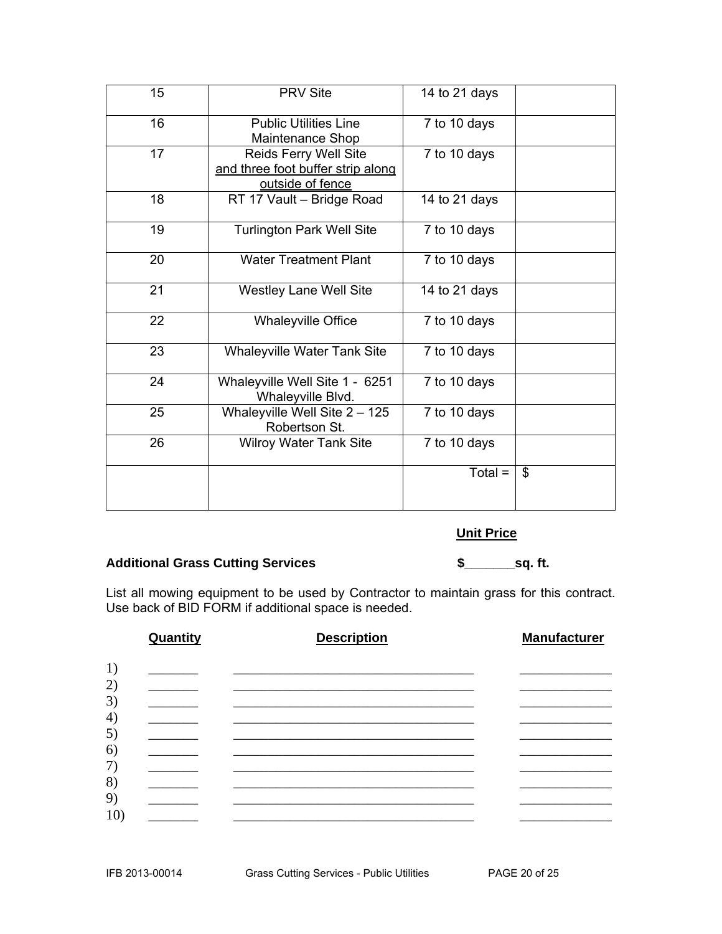| 15 | <b>PRV Site</b>                                                                | 14 to 21 days |    |
|----|--------------------------------------------------------------------------------|---------------|----|
| 16 | <b>Public Utilities Line</b><br>Maintenance Shop                               | 7 to 10 days  |    |
| 17 | Reids Ferry Well Site<br>and three foot buffer strip along<br>outside of fence | 7 to 10 days  |    |
| 18 | RT 17 Vault - Bridge Road                                                      | 14 to 21 days |    |
| 19 | <b>Turlington Park Well Site</b>                                               | 7 to 10 days  |    |
| 20 | <b>Water Treatment Plant</b>                                                   | 7 to 10 days  |    |
| 21 | <b>Westley Lane Well Site</b>                                                  | 14 to 21 days |    |
| 22 | <b>Whaleyville Office</b>                                                      | 7 to 10 days  |    |
| 23 | <b>Whaleyville Water Tank Site</b>                                             | 7 to 10 days  |    |
| 24 | Whaleyville Well Site 1 - 6251<br>Whaleyville Blvd.                            | 7 to 10 days  |    |
| 25 | Whaleyville Well Site $2 - 125$<br>Robertson St.                               | 7 to 10 days  |    |
| 26 | <b>Wilroy Water Tank Site</b>                                                  | 7 to 10 days  |    |
|    |                                                                                | $Total =$     | \$ |

#### **Unit Price**

#### **Additional Grass Cutting Services \$\_\_\_\_\_\_\_sq. ft.**

List all mowing equipment to be used by Contractor to maintain grass for this contract. Use back of BID FORM if additional space is needed.

|                   | Quantity | <b>Description</b> | <b>Manufacturer</b> |
|-------------------|----------|--------------------|---------------------|
| 1)                |          |                    |                     |
| 2)                |          |                    |                     |
| 3)                |          |                    |                     |
| $\left( 4\right)$ |          |                    |                     |
| 5)<br>6)          |          |                    |                     |
| 7)                |          |                    |                     |
| 8)                |          |                    |                     |
| 9)                |          |                    |                     |
| 10 <sup>°</sup>   |          |                    |                     |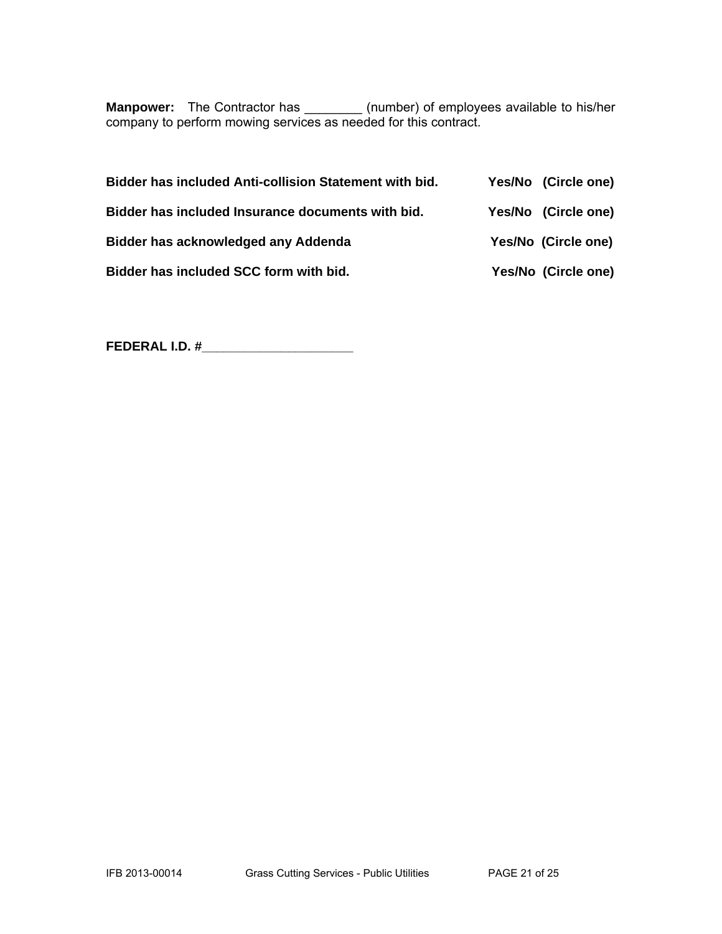**Manpower:** The Contractor has \_\_\_\_\_\_\_\_ (number) of employees available to his/her company to perform mowing services as needed for this contract.

| <b>Bidder has included Anti-collision Statement with bid.</b> | Yes/No (Circle one) |
|---------------------------------------------------------------|---------------------|
| Bidder has included Insurance documents with bid.             | Yes/No (Circle one) |
| Bidder has acknowledged any Addenda                           | Yes/No (Circle one) |
| Bidder has included SCC form with bid.                        | Yes/No (Circle one) |

**FEDERAL I.D. #\_\_\_\_\_\_\_\_\_\_\_\_\_\_\_\_\_\_\_\_\_**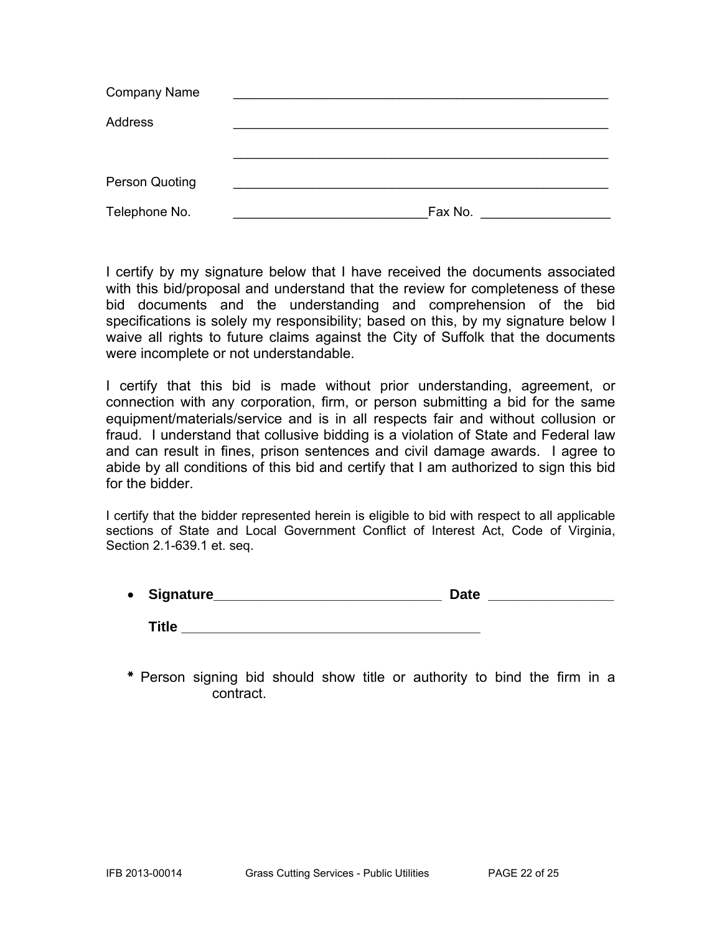| <b>Company Name</b> |         |
|---------------------|---------|
| Address             |         |
|                     |         |
|                     |         |
| Person Quoting      |         |
| Telephone No.       | Fax No. |

I certify by my signature below that I have received the documents associated with this bid/proposal and understand that the review for completeness of these bid documents and the understanding and comprehension of the bid specifications is solely my responsibility; based on this, by my signature below I waive all rights to future claims against the City of Suffolk that the documents were incomplete or not understandable.

I certify that this bid is made without prior understanding, agreement, or connection with any corporation, firm, or person submitting a bid for the same equipment/materials/service and is in all respects fair and without collusion or fraud. I understand that collusive bidding is a violation of State and Federal law and can result in fines, prison sentences and civil damage awards. I agree to abide by all conditions of this bid and certify that I am authorized to sign this bid for the bidder.

I certify that the bidder represented herein is eligible to bid with respect to all applicable sections of State and Local Government Conflict of Interest Act, Code of Virginia, Section 2.1-639.1 et. seq.

| • Signature_ | <b>Date</b> |  |
|--------------|-------------|--|
| Title        |             |  |

\* Person signing bid should show title or authority to bind the firm in a contract.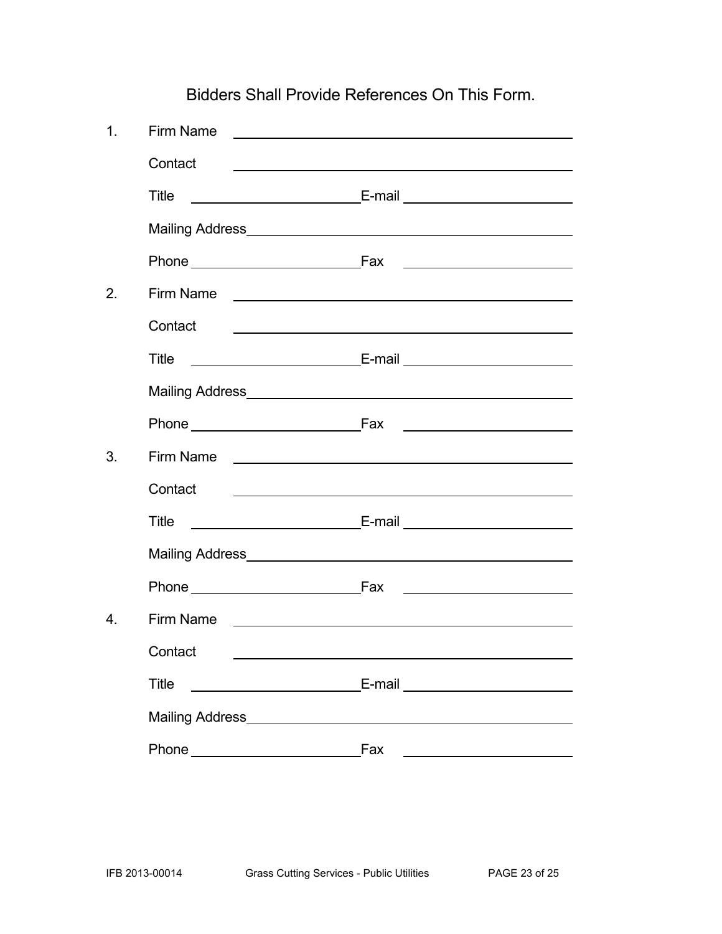Bidders Shall Provide References On This Form.

| $\mathbf 1$ .    | Firm Name    | <u> 1989 - Johann Barbara, martxa alemaniar arg</u>                                                                                                                                                                                  |
|------------------|--------------|--------------------------------------------------------------------------------------------------------------------------------------------------------------------------------------------------------------------------------------|
|                  | Contact      |                                                                                                                                                                                                                                      |
|                  | Title        |                                                                                                                                                                                                                                      |
|                  |              |                                                                                                                                                                                                                                      |
|                  |              | <u> Alexandria de la contexta de la contexta de la contexta de la contexta de la contexta de la contexta de la c</u>                                                                                                                 |
| 2.               | Firm Name    | <u> 1980 - Andrea Andrew Maria (h. 1980).</u>                                                                                                                                                                                        |
|                  | Contact      | <u> 1989 - Johann Barbara, martin amerikan basal dan berasal dan berasal dalam basal dan berasal dan berasal dan</u>                                                                                                                 |
|                  | Title        |                                                                                                                                                                                                                                      |
|                  |              |                                                                                                                                                                                                                                      |
|                  |              |                                                                                                                                                                                                                                      |
| 3.               | Firm Name    | <u> 1989 - Johann Harry Harry Harry Harry Harry Harry Harry Harry Harry Harry Harry Harry Harry Harry Harry Harry</u>                                                                                                                |
|                  | Contact      | <u> 2002 - Jan Barnett, fransk politik (d. 1882)</u>                                                                                                                                                                                 |
|                  | Title        |                                                                                                                                                                                                                                      |
|                  |              |                                                                                                                                                                                                                                      |
|                  |              |                                                                                                                                                                                                                                      |
| $\overline{4}$ . | Firm Name    | <u> 1980 - Jan Samuel Barbara, martin de la provincia de la provincia de la provincia de la provincia de la provi</u>                                                                                                                |
|                  | Contact      |                                                                                                                                                                                                                                      |
|                  | <b>Title</b> | <u>E-mail and the E-mail and the second service of the service of the service of the service of the service of the service of the service of the service of the service of the service of the service of the service of the serv</u> |
|                  |              |                                                                                                                                                                                                                                      |
|                  | Phone        | Fax                                                                                                                                                                                                                                  |
|                  |              |                                                                                                                                                                                                                                      |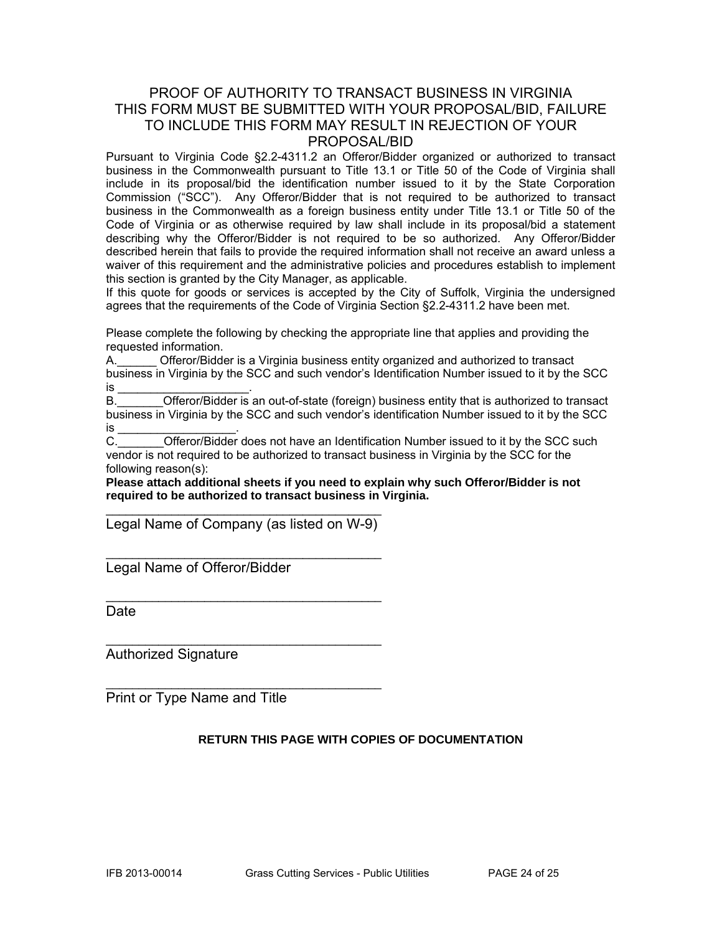#### PROOF OF AUTHORITY TO TRANSACT BUSINESS IN VIRGINIA THIS FORM MUST BE SUBMITTED WITH YOUR PROPOSAL/BID, FAILURE TO INCLUDE THIS FORM MAY RESULT IN REJECTION OF YOUR PROPOSAL/BID

Pursuant to Virginia Code §2.2-4311.2 an Offeror/Bidder organized or authorized to transact business in the Commonwealth pursuant to Title 13.1 or Title 50 of the Code of Virginia shall include in its proposal/bid the identification number issued to it by the State Corporation Commission ("SCC"). Any Offeror/Bidder that is not required to be authorized to transact business in the Commonwealth as a foreign business entity under Title 13.1 or Title 50 of the Code of Virginia or as otherwise required by law shall include in its proposal/bid a statement describing why the Offeror/Bidder is not required to be so authorized. Any Offeror/Bidder described herein that fails to provide the required information shall not receive an award unless a waiver of this requirement and the administrative policies and procedures establish to implement this section is granted by the City Manager, as applicable.

If this quote for goods or services is accepted by the City of Suffolk, Virginia the undersigned agrees that the requirements of the Code of Virginia Section §2.2-4311.2 have been met.

Please complete the following by checking the appropriate line that applies and providing the requested information.

A.\_\_\_\_\_\_ Offeror/Bidder is a Virginia business entity organized and authorized to transact business in Virginia by the SCC and such vendor's Identification Number issued to it by the SCC is \_\_\_\_\_\_\_\_\_\_\_\_\_\_\_\_\_\_\_\_\_\_\_\_\_\_\_\_\_\_\_\_.

B. **Combing the Communist Communisty Communisty** B. **Communisty Communisty Communisty Communisty** Communisty Communisty Communisty Communisty Communisty Communisty Communisty Communisty Communisty Communisty Communisty Com business in Virginia by the SCC and such vendor's identification Number issued to it by the SCC is \_\_\_\_\_\_\_\_\_\_\_\_\_\_\_\_\_\_\_\_\_\_.

C. **C.** Offeror/Bidder does not have an Identification Number issued to it by the SCC such vendor is not required to be authorized to transact business in Virginia by the SCC for the following reason(s):

**Please attach additional sheets if you need to explain why such Offeror/Bidder is not required to be authorized to transact business in Virginia.** 

\_\_\_\_\_\_\_\_\_\_\_\_\_\_\_\_\_\_\_\_\_\_\_\_\_\_\_\_\_\_\_\_\_\_\_\_\_\_\_\_\_\_ Legal Name of Company (as listed on W-9)

\_\_\_\_\_\_\_\_\_\_\_\_\_\_\_\_\_\_\_\_\_\_\_\_\_\_\_\_\_\_\_\_\_\_\_\_\_\_\_\_\_\_

\_\_\_\_\_\_\_\_\_\_\_\_\_\_\_\_\_\_\_\_\_\_\_\_\_\_\_\_\_\_\_\_\_\_\_\_\_\_\_\_\_\_

 $\mathcal{L}_\text{max}$  , and the set of the set of the set of the set of the set of the set of the set of the set of the set of the set of the set of the set of the set of the set of the set of the set of the set of the set of the

 $\mathcal{L}_\text{max}$  , and the set of the set of the set of the set of the set of the set of the set of the set of the set of the set of the set of the set of the set of the set of the set of the set of the set of the set of the

Legal Name of Offeror/Bidder

**Date** 

Authorized Signature

Print or Type Name and Title

#### **RETURN THIS PAGE WITH COPIES OF DOCUMENTATION**